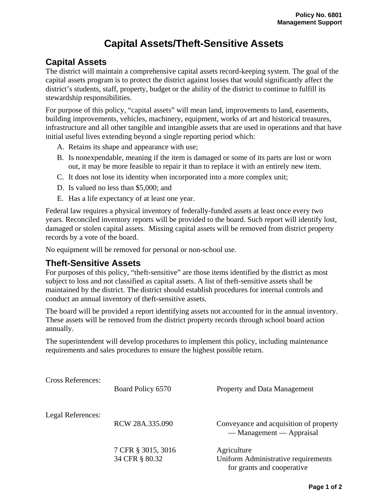## **Capital Assets/Theft-Sensitive Assets**

## **Capital Assets**

The district will maintain a comprehensive capital assets record-keeping system. The goal of the capital assets program is to protect the district against losses that would significantly affect the district's students, staff, property, budget or the ability of the district to continue to fulfill its stewardship responsibilities.

For purpose of this policy, "capital assets" will mean land, improvements to land, easements, building improvements, vehicles, machinery, equipment, works of art and historical treasures, infrastructure and all other tangible and intangible assets that are used in operations and that have initial useful lives extending beyond a single reporting period which:

- A. Retains its shape and appearance with use;
- B. Is nonexpendable, meaning if the item is damaged or some of its parts are lost or worn out, it may be more feasible to repair it than to replace it with an entirely new item.
- C. It does not lose its identity when incorporated into a more complex unit;
- D. Is valued no less than \$5,000; and
- E. Has a life expectancy of at least one year.

Federal law requires a physical inventory of federally-funded assets at least once every two years. Reconciled inventory reports will be provided to the board. Such report will identify lost, damaged or stolen capital assets. Missing capital assets will be removed from district property records by a vote of the board.

No equipment will be removed for personal or non-school use.

## **Theft-Sensitive Assets**

For purposes of this policy, "theft-sensitive" are those items identified by the district as most subject to loss and not classified as capital assets. A list of theft-sensitive assets shall be maintained by the district. The district should establish procedures for internal controls and conduct an annual inventory of theft-sensitive assets.

The board will be provided a report identifying assets not accounted for in the annual inventory. These assets will be removed from the district property records through school board action annually.

The superintendent will develop procedures to implement this policy, including maintenance requirements and sales procedures to ensure the highest possible return.

| <b>Cross References:</b> | Board Policy 6570                    | Property and Data Management                                                     |
|--------------------------|--------------------------------------|----------------------------------------------------------------------------------|
| Legal References:        | RCW 28A.335.090                      | Conveyance and acquisition of property<br>— Management — Appraisal               |
|                          | 7 CFR § 3015, 3016<br>34 CFR § 80.32 | Agriculture<br>Uniform Administrative requirements<br>for grants and cooperative |